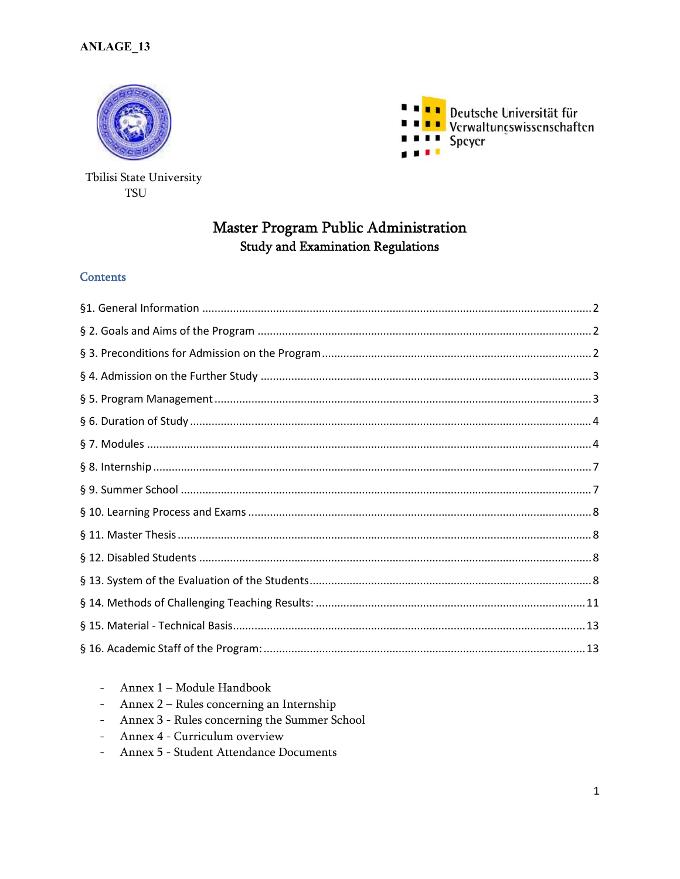



## Tbilisi State University **TSU**

# Master Program Public Administration **Study and Examination Regulations**

#### **Contents**

- Annex 1 Module Handbook
- Annex 2 Rules concerning an Internship
- Annex 3 Rules concerning the Summer School
- Annex 4 Curriculum overview
- Annex 5 Student Attendance Documents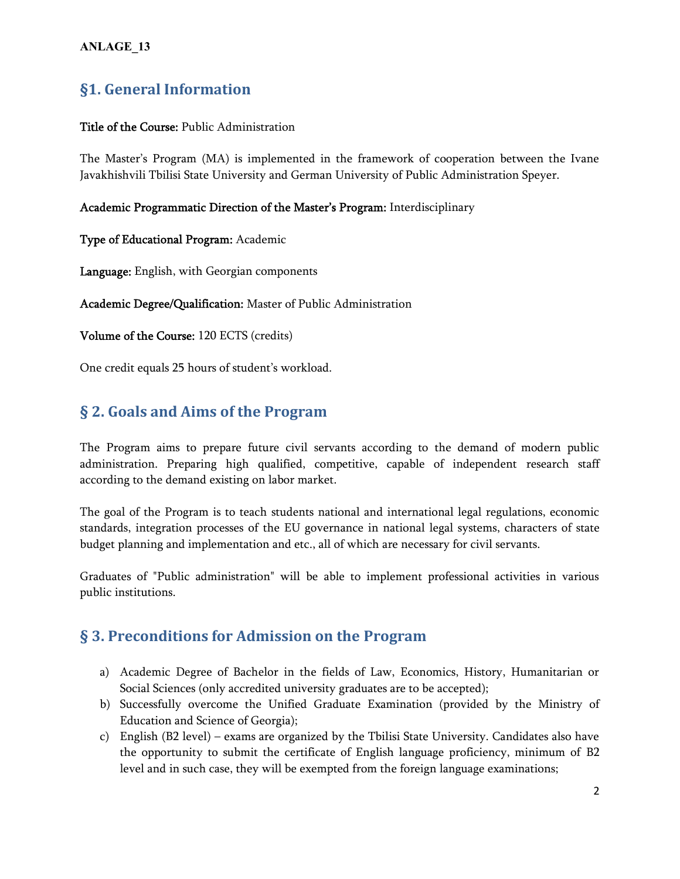# **§1. General Information**

## **Title of the Course:** Public Administration

The Master's Program (MA) is implemented in the framework of cooperation between the Ivane Javakhishvili Tbilisi State University and German University of Public Administration Speyer.

#### **Academic Programmatic Direction of the Master's Program:** Interdisciplinary

**Type of Educational Program:** Academic

**Language:** English, with Georgian components

**Academic Degree/Qualification:** Master of Public Administration

**Volume of the Course:** 120 ECTS (credits)

One credit equals 25 hours of student's workload.

# **§ 2. Goals and Aims of the Program**

The Program aims to prepare future civil servants according to the demand of modern public administration. Preparing high qualified, competitive, capable of independent research staff according to the demand existing on labor market.

The goal of the Program is to teach students national and international legal regulations, economic standards, integration processes of the EU governance in national legal systems, characters of state budget planning and implementation and etc., all of which are necessary for civil servants.

Graduates of "Public administration" will be able to implement professional activities in various public institutions.

# **§ 3. Preconditions for Admission on the Program**

- a) Academic Degree of Bachelor in the fields of Law, Economics, History, Humanitarian or Social Sciences (only accredited university graduates are to be accepted);
- b) Successfully overcome the Unified Graduate Examination (provided by the Ministry of Education and Science of Georgia);
- c) English (B2 level) exams are organized by the Tbilisi State University. Candidates also have the opportunity to submit the certificate of English language proficiency, minimum of B2 level and in such case, they will be exempted from the foreign language examinations;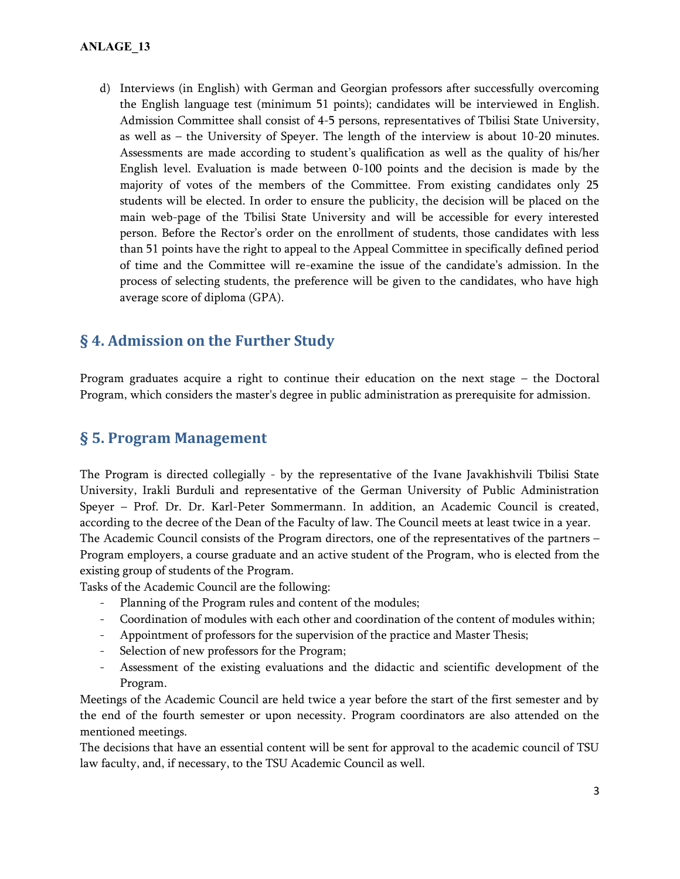d) Interviews (in English) with German and Georgian professors after successfully overcoming the English language test (minimum 51 points); candidates will be interviewed in English. Admission Committee shall consist of 4-5 persons, representatives of Tbilisi State University, as well as – the University of Speyer. The length of the interview is about 10-20 minutes. Assessments are made according to student's qualification as well as the quality of his/her English level. Evaluation is made between 0-100 points and the decision is made by the majority of votes of the members of the Committee. From existing candidates only 25 students will be elected. In order to ensure the publicity, the decision will be placed on the main web-page of the Tbilisi State University and will be accessible for every interested person. Before the Rector's order on the enrollment of students, those candidates with less than 51 points have the right to appeal to the Appeal Committee in specifically defined period of time and the Committee will re-examine the issue of the candidate's admission. In the process of selecting students, the preference will be given to the candidates, who have high average score of diploma (GPA).

# **§ 4. Admission on the Further Study**

Program graduates acquire a right to continue their education on the next stage – the Doctoral Program, which considers the master's degree in public administration as prerequisite for admission.

## **§ 5. Program Management**

The Program is directed collegially - by the representative of the Ivane Javakhishvili Tbilisi State University, Irakli Burduli and representative of the German University of Public Administration Speyer – Prof. Dr. Dr. Karl-Peter Sommermann. In addition, an Academic Council is created, according to the decree of the Dean of the Faculty of law. The Council meets at least twice in a year. The Academic Council consists of the Program directors, one of the representatives of the partners – Program employers, a course graduate and an active student of the Program, who is elected from the existing group of students of the Program.

Tasks of the Academic Council are the following:

- Planning of the Program rules and content of the modules;
- Coordination of modules with each other and coordination of the content of modules within;
- Appointment of professors for the supervision of the practice and Master Thesis;
- Selection of new professors for the Program;
- Assessment of the existing evaluations and the didactic and scientific development of the Program.

Meetings of the Academic Council are held twice a year before the start of the first semester and by the end of the fourth semester or upon necessity. Program coordinators are also attended on the mentioned meetings.

The decisions that have an essential content will be sent for approval to the academic council of TSU law faculty, and, if necessary, to the TSU Academic Council as well.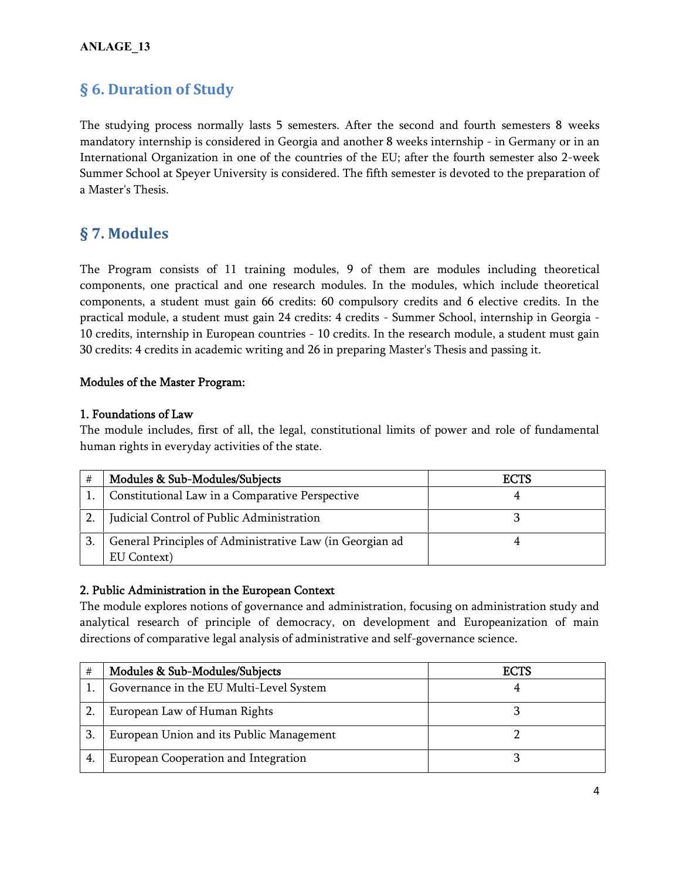# **§ 6. Duration of Study**

The studying process normally lasts 5 semesters. After the second and fourth semesters 8 weeks mandatory internship is considered in Georgia and another 8 weeks internship - in Germany or in an International Organization in one of the countries of the EU; after the fourth semester also 2-week Summer School at Speyer University is considered. The fifth semester is devoted to the preparation of a Master's Thesis.

# **§ 7. Modules**

The Program consists of 11 training modules, 9 of them are modules including theoretical components, one practical and one research modules. In the modules, which include theoretical components, a student must gain 66 credits: 60 compulsory credits and 6 elective credits. In the practical module, a student must gain 24 credits: 4 credits - Summer School, internship in Georgia - 10 credits, internship in European countries - 10 credits. In the research module, a student must gain 30 credits: 4 credits in academic writing and 26 in preparing Master's Thesis and passing it.

## **Modules of the Master Program:**

#### **1. Foundations of Law**

The module includes, first of all, the legal, constitutional limits of power and role of fundamental human rights in everyday activities of the state.

| # | Modules & Sub-Modules/Subjects                           | <b>ECTS</b> |
|---|----------------------------------------------------------|-------------|
|   | Constitutional Law in a Comparative Perspective          |             |
|   | Judicial Control of Public Administration                |             |
|   | General Principles of Administrative Law (in Georgian ad |             |
|   | EU Context)                                              |             |

## **2. Public Administration in the European Context**

The module explores notions of governance and administration, focusing on administration study and analytical research of principle of democracy, on development and Europeanization of main directions of comparative legal analysis of administrative and self-governance science.

| #  | Modules & Sub-Modules/Subjects           | <b>ECTS</b> |
|----|------------------------------------------|-------------|
|    | Governance in the EU Multi-Level System  |             |
|    | European Law of Human Rights             |             |
| 3. | European Union and its Public Management |             |
| 4. | European Cooperation and Integration     |             |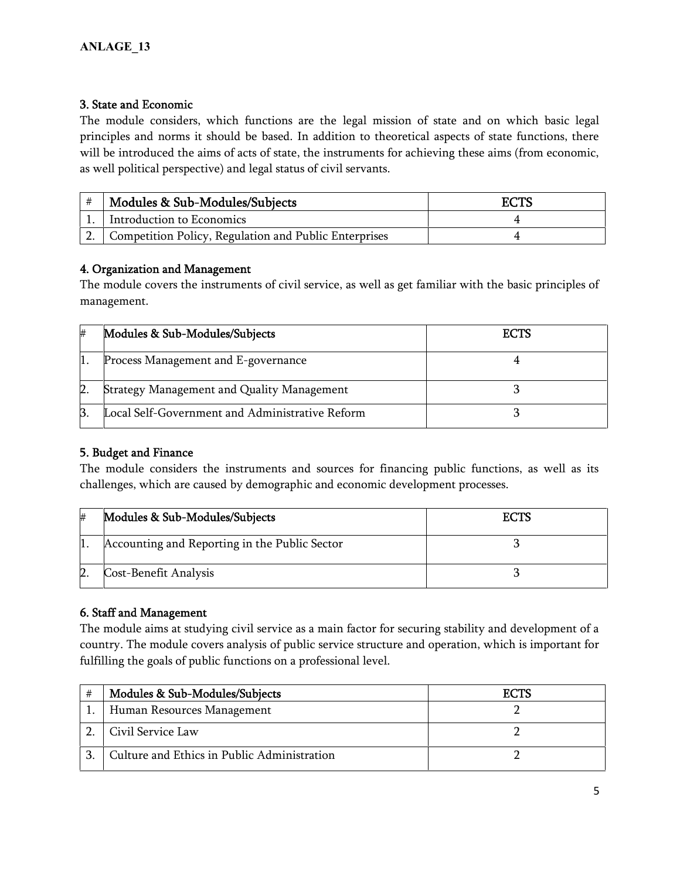## **3. State and Economic**

The module considers, which functions are the legal mission of state and on which basic legal principles and norms it should be based. In addition to theoretical aspects of state functions, there will be introduced the aims of acts of state, the instruments for achieving these aims (from economic, as well political perspective) and legal status of civil servants.

|    | Modules & Sub-Modules/Subjects                        | ECTS |
|----|-------------------------------------------------------|------|
|    | Introduction to Economics                             |      |
| z. | Competition Policy, Regulation and Public Enterprises |      |

## **4. Organization and Management**

The module covers the instruments of civil service, as well as get familiar with the basic principles of management.

| # | Modules & Sub-Modules/Subjects                    | <b>ECTS</b> |
|---|---------------------------------------------------|-------------|
|   | Process Management and E-governance               |             |
|   | <b>Strategy Management and Quality Management</b> |             |
|   | Local Self-Government and Administrative Reform   |             |

## **5. Budget and Finance**

The module considers the instruments and sources for financing public functions, as well as its challenges, which are caused by demographic and economic development processes.

| # | Modules & Sub-Modules/Subjects                | <b>ECTS</b> |
|---|-----------------------------------------------|-------------|
|   | Accounting and Reporting in the Public Sector |             |
|   | Cost-Benefit Analysis                         |             |

## **6. Staff and Management**

The module aims at studying civil service as a main factor for securing stability and development of a country. The module covers analysis of public service structure and operation, which is important for fulfilling the goals of public functions on a professional level.

| # | Modules & Sub-Modules/Subjects              | <b>ECTS</b> |
|---|---------------------------------------------|-------------|
|   | Human Resources Management                  |             |
|   | Civil Service Law                           |             |
|   | Culture and Ethics in Public Administration |             |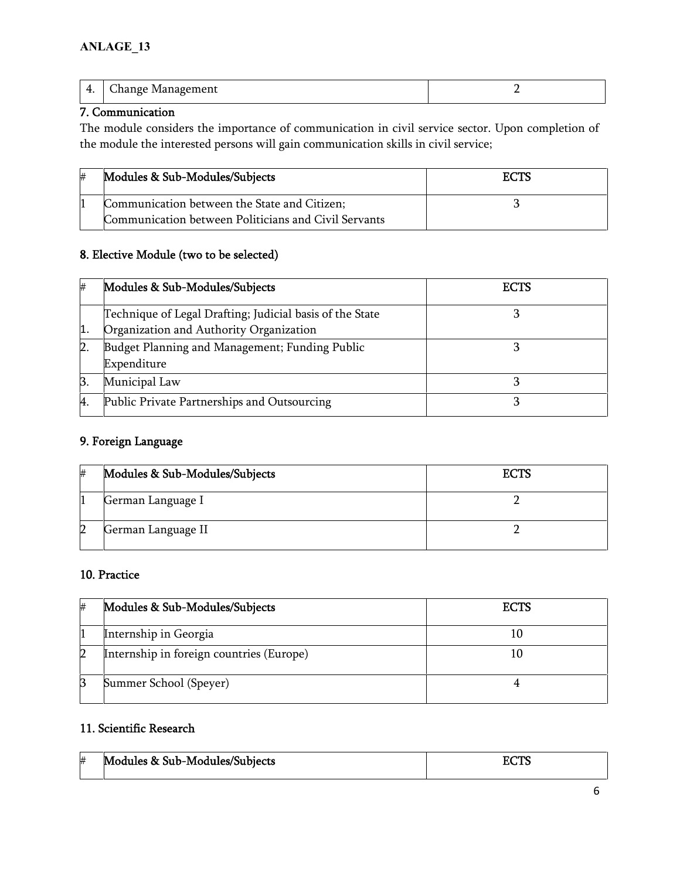| .<br>$\sim$ | `honαe<br>_____<br>____ |  |
|-------------|-------------------------|--|
|             |                         |  |

## **7. Communication**

The module considers the importance of communication in civil service sector. Upon completion of the module the interested persons will gain communication skills in civil service;

| ₩ | Modules & Sub-Modules/Subjects                       | <b>ECTS</b> |
|---|------------------------------------------------------|-------------|
|   | Communication between the State and Citizen;         |             |
|   | Communication between Politicians and Civil Servants |             |

## **8. Elective Module (two to be selected)**

| # | Modules & Sub-Modules/Subjects                           | ECTS |
|---|----------------------------------------------------------|------|
|   | Technique of Legal Drafting; Judicial basis of the State |      |
|   | Organization and Authority Organization                  |      |
|   | Budget Planning and Management; Funding Public           |      |
|   | Expenditure                                              |      |
| B | Municipal Law                                            |      |
| 4 | Public Private Partnerships and Outsourcing              |      |

## **9. Foreign Language**

| #  | Modules & Sub-Modules/Subjects | <b>ECTS</b> |
|----|--------------------------------|-------------|
|    | German Language I              |             |
| 12 | German Language II             |             |

## **10. Practice**

| # | Modules & Sub-Modules/Subjects           | <b>ECTS</b> |
|---|------------------------------------------|-------------|
|   | Internship in Georgia                    |             |
|   | Internship in foreign countries (Europe) |             |
| Β | Summer School (Speyer)                   |             |

## **11. Scientific Research**

| # | Modules & Sub-Modules/Subjects | $7$ $\sigma$ TC<br>5612 |
|---|--------------------------------|-------------------------|
|   |                                |                         |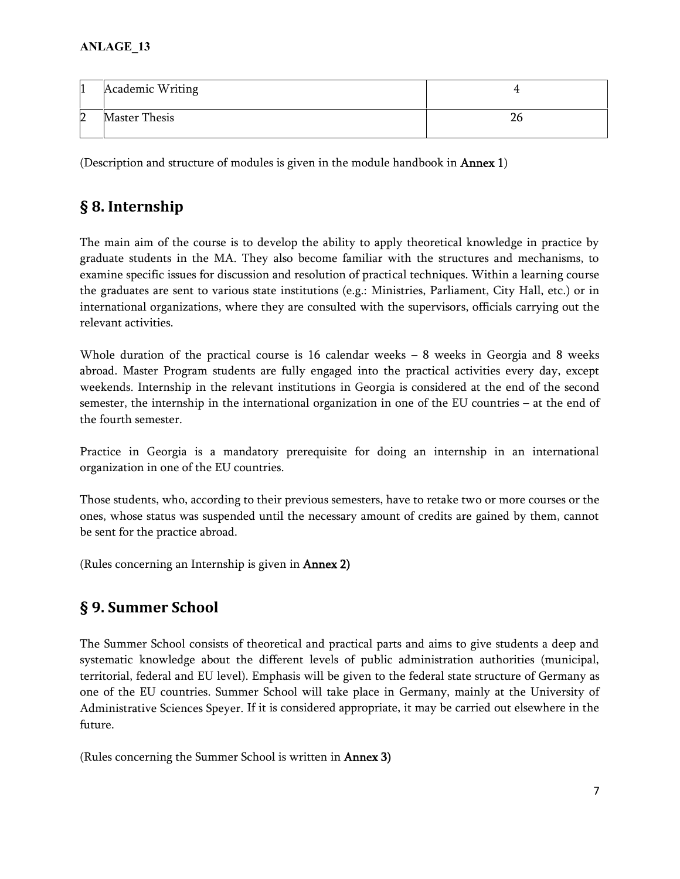| $\vert$ 1 | Academic Writing     |  |
|-----------|----------------------|--|
| 12        | <b>Master Thesis</b> |  |

(Description and structure of modules is given in the module handbook in **Annex 1**)

# **§ 8. Internship**

The main aim of the course is to develop the ability to apply theoretical knowledge in practice by graduate students in the MA. They also become familiar with the structures and mechanisms, to examine specific issues for discussion and resolution of practical techniques. Within a learning course the graduates are sent to various state institutions (e.g.: Ministries, Parliament, City Hall, etc.) or in international organizations, where they are consulted with the supervisors, officials carrying out the relevant activities.

Whole duration of the practical course is 16 calendar weeks – 8 weeks in Georgia and 8 weeks abroad. Master Program students are fully engaged into the practical activities every day, except weekends. Internship in the relevant institutions in Georgia is considered at the end of the second semester, the internship in the international organization in one of the EU countries – at the end of the fourth semester.

Practice in Georgia is a mandatory prerequisite for doing an internship in an international organization in one of the EU countries.

Those students, who, according to their previous semesters, have to retake two or more courses or the ones, whose status was suspended until the necessary amount of credits are gained by them, cannot be sent for the practice abroad.

(Rules concerning an Internship is given in **Annex 2)**

# **§ 9. Summer School**

The Summer School consists of theoretical and practical parts and aims to give students a deep and systematic knowledge about the different levels of public administration authorities (municipal, territorial, federal and EU level). Emphasis will be given to the federal state structure of Germany as one of the EU countries. Summer School will take place in Germany, mainly at the University of Administrative Sciences Speyer. If it is considered appropriate, it may be carried out elsewhere in the future.

(Rules concerning the Summer School is written in **Annex 3)**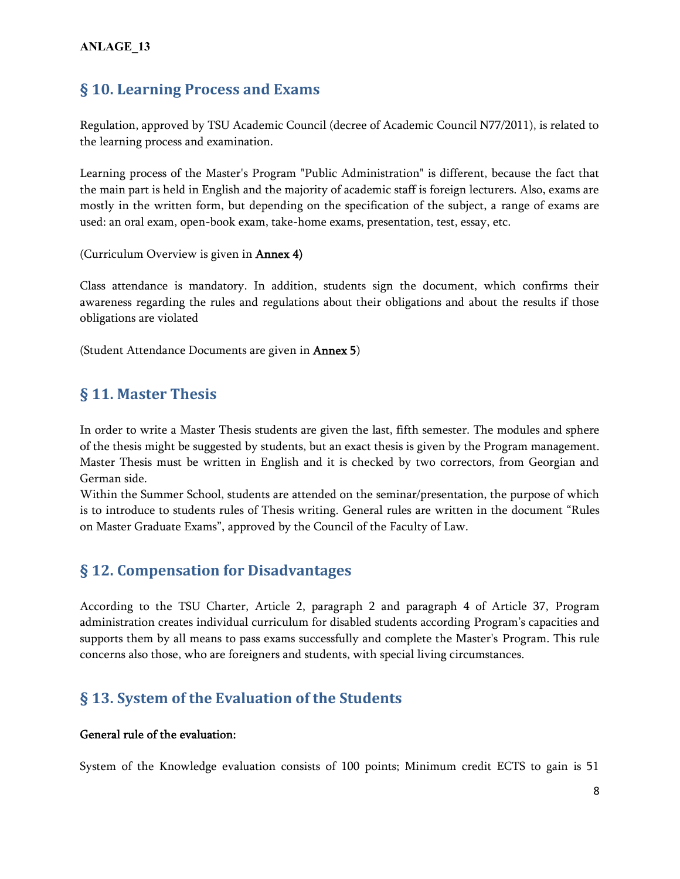## **§ 10. Learning Process and Exams**

Regulation, approved by TSU Academic Council (decree of Academic Council N77/2011), is related to the learning process and examination.

Learning process of the Master's Program "Public Administration" is different, because the fact that the main part is held in English and the majority of academic staff is foreign lecturers. Also, exams are mostly in the written form, but depending on the specification of the subject, a range of exams are used: an oral exam, open-book exam, take-home exams, presentation, test, essay, etc.

(Curriculum Overview is given in **Annex 4)**

Class attendance is mandatory. In addition, students sign the document, which confirms their awareness regarding the rules and regulations about their obligations and about the results if those obligations are violated

(Student Attendance Documents are given in **Annex 5**)

## **§ 11. Master Thesis**

In order to write a Master Thesis students are given the last, fifth semester. The modules and sphere of the thesis might be suggested by students, but an exact thesis is given by the Program management. Master Thesis must be written in English and it is checked by two correctors, from Georgian and German side.

Within the Summer School, students are attended on the seminar/presentation, the purpose of which is to introduce to students rules of Thesis writing. General rules are written in the document "Rules on Master Graduate Exams", approved by the Council of the Faculty of Law.

## **§ 12. Compensation for Disadvantages**

According to the TSU Charter, Article 2, paragraph 2 and paragraph 4 of Article 37, Program administration creates individual curriculum for disabled students according Program's capacities and supports them by all means to pass exams successfully and complete the Master's Program. This rule concerns also those, who are foreigners and students, with special living circumstances.

# **§ 13. System of the Evaluation of the Students**

## **General rule of the evaluation:**

System of the Knowledge evaluation consists of 100 points; Minimum credit ECTS to gain is 51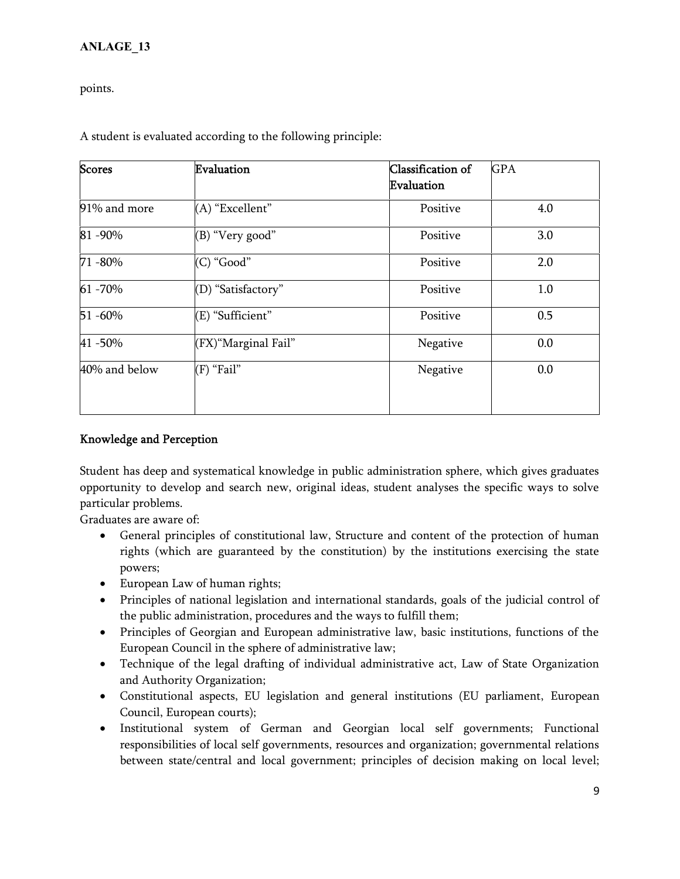points.

| <b>Scores</b> | Evaluation           | Classification of | <b>GPA</b> |
|---------------|----------------------|-------------------|------------|
|               |                      | Evaluation        |            |
| 91% and more  | (A) "Excellent"      | Positive          | 4.0        |
| 81-90%        | (B) "Very good"      | Positive          | 3.0        |
| 71 - 80%      | (C) "Good"           | Positive          | 2.0        |
| 61 -70%       | (D) "Satisfactory"   | Positive          | 1.0        |
| 51 -60%       | (E) "Sufficient"     | Positive          | 0.5        |
| 41 - 50%      | (FX) "Marginal Fail" | Negative          | 0.0        |
| 40% and below | $(F)$ "Fail"         | Negative          | 0.0        |

A student is evaluated according to the following principle:

## **Knowledge and Perception**

Student has deep and systematical knowledge in public administration sphere, which gives graduates opportunity to develop and search new, original ideas, student analyses the specific ways to solve particular problems.

Graduates are aware of:

- General principles of constitutional law, Structure and content of the protection of human rights (which are guaranteed by the constitution) by the institutions exercising the state powers;
- European Law of human rights;
- Principles of national legislation and international standards, goals of the judicial control of the public administration, procedures and the ways to fulfill them;
- Principles of Georgian and European administrative law, basic institutions, functions of the European Council in the sphere of administrative law;
- Technique of the legal drafting of individual administrative act, Law of State Organization and Authority Organization;
- Constitutional aspects, EU legislation and general institutions (EU parliament, European Council, European courts);
- Institutional system of German and Georgian local self governments; Functional responsibilities of local self governments, resources and organization; governmental relations between state/central and local government; principles of decision making on local level;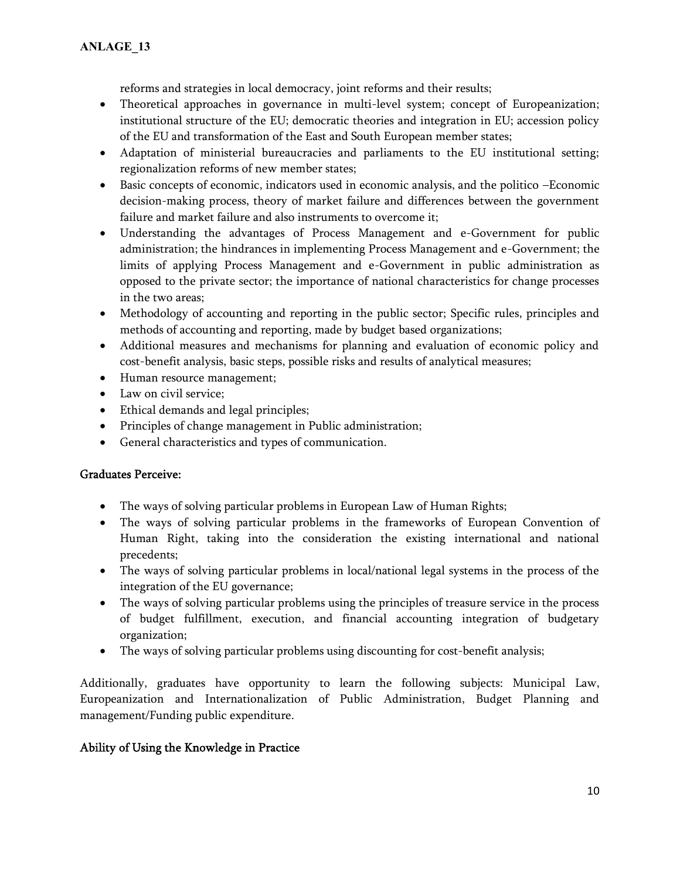reforms and strategies in local democracy, joint reforms and their results;

- Theoretical approaches in governance in multi-level system; concept of Europeanization; institutional structure of the EU; democratic theories and integration in EU; accession policy of the EU and transformation of the East and South European member states;
- Adaptation of ministerial bureaucracies and parliaments to the EU institutional setting; regionalization reforms of new member states;
- Basic concepts of economic, indicators used in economic analysis, and the politico –Economic decision-making process, theory of market failure and differences between the government failure and market failure and also instruments to overcome it;
- Understanding the advantages of Process Management and e-Government for public administration; the hindrances in implementing Process Management and e-Government; the limits of applying Process Management and e-Government in public administration as opposed to the private sector; the importance of national characteristics for change processes in the two areas;
- Methodology of accounting and reporting in the public sector; Specific rules, principles and methods of accounting and reporting, made by budget based organizations;
- Additional measures and mechanisms for planning and evaluation of economic policy and cost-benefit analysis, basic steps, possible risks and results of analytical measures;
- Human resource management;
- Law on civil service;
- Ethical demands and legal principles;
- Principles of change management in Public administration;
- General characteristics and types of communication.

## **Graduates Perceive:**

- The ways of solving particular problems in European Law of Human Rights;
- The ways of solving particular problems in the frameworks of European Convention of Human Right, taking into the consideration the existing international and national precedents;
- The ways of solving particular problems in local/national legal systems in the process of the integration of the EU governance;
- The ways of solving particular problems using the principles of treasure service in the process of budget fulfillment, execution, and financial accounting integration of budgetary organization;
- The ways of solving particular problems using discounting for cost-benefit analysis;

Additionally, graduates have opportunity to learn the following subjects: Municipal Law, Europeanization and Internationalization of Public Administration, Budget Planning and management/Funding public expenditure.

## **Ability of Using the Knowledge in Practice**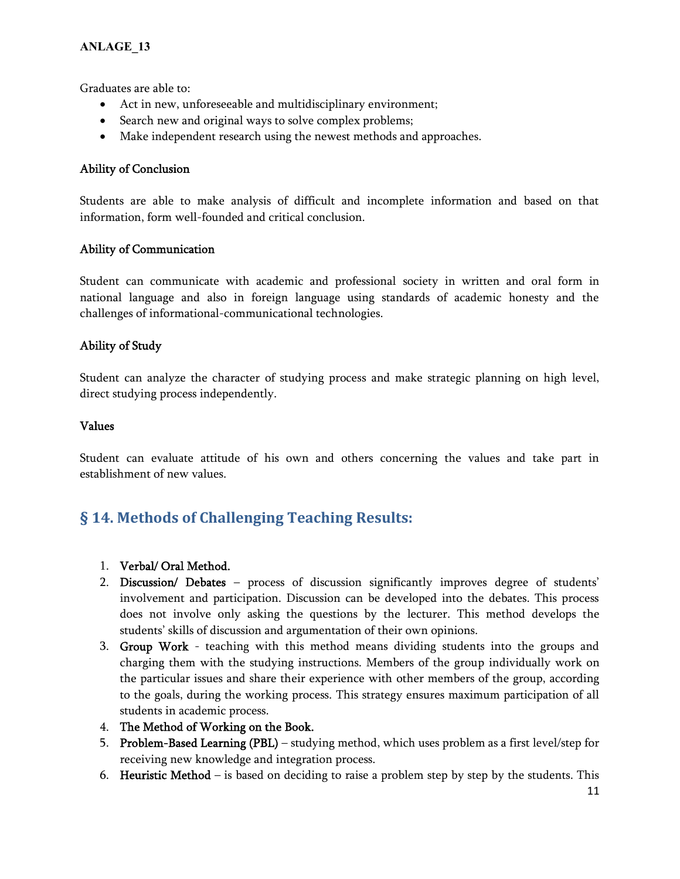Graduates are able to:

- Act in new, unforeseeable and multidisciplinary environment;
- Search new and original ways to solve complex problems;
- Make independent research using the newest methods and approaches.

## **Ability of Conclusion**

Students are able to make analysis of difficult and incomplete information and based on that information, form well-founded and critical conclusion.

## **Ability of Communication**

Student can communicate with academic and professional society in written and oral form in national language and also in foreign language using standards of academic honesty and the challenges of informational-communicational technologies.

## **Ability of Study**

Student can analyze the character of studying process and make strategic planning on high level, direct studying process independently.

#### **Values**

Student can evaluate attitude of his own and others concerning the values and take part in establishment of new values.

# **§ 14. Methods of Challenging Teaching Results:**

- 1. **Verbal/ Oral Method.**
- 2. **Discussion/ Debates** process of discussion significantly improves degree of students' involvement and participation. Discussion can be developed into the debates. This process does not involve only asking the questions by the lecturer. This method develops the students' skills of discussion and argumentation of their own opinions.
- 3. **Group Work** teaching with this method means dividing students into the groups and charging them with the studying instructions. Members of the group individually work on the particular issues and share their experience with other members of the group, according to the goals, during the working process. This strategy ensures maximum participation of all students in academic process.
- 4. **The Method of Working on the Book.**
- 5. **Problem-Based Learning (PBL)** studying method, which uses problem as a first level/step for receiving new knowledge and integration process.
- 6. **Heuristic Method** is based on deciding to raise a problem step by step by the students. This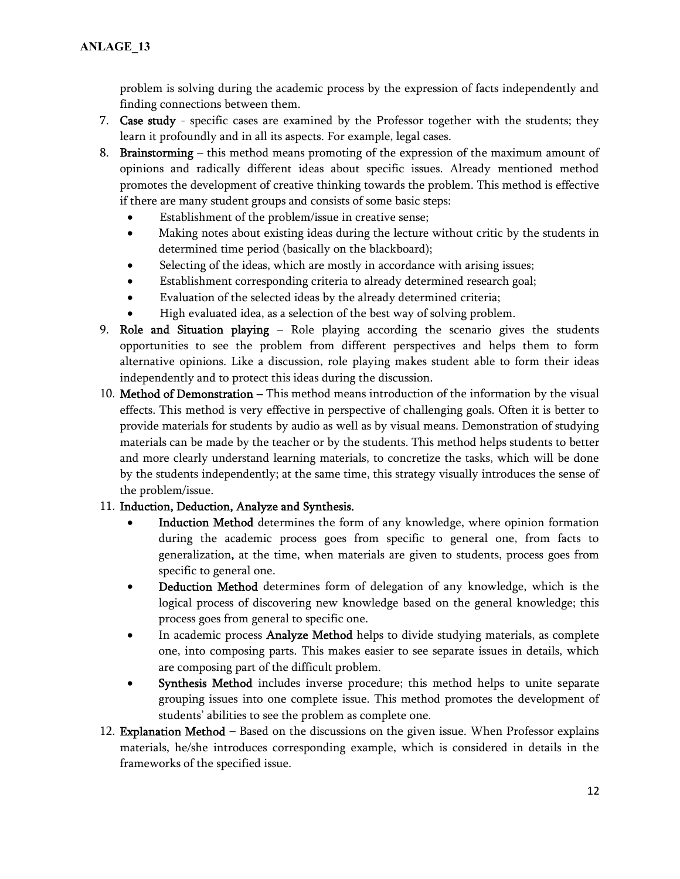problem is solving during the academic process by the expression of facts independently and finding connections between them.

- 7. **Case study** specific cases are examined by the Professor together with the students; they learn it profoundly and in all its aspects. For example, legal cases.
- 8. **Brainstorming** this method means promoting of the expression of the maximum amount of opinions and radically different ideas about specific issues. Already mentioned method promotes the development of creative thinking towards the problem. This method is effective if there are many student groups and consists of some basic steps:
	- Establishment of the problem/issue in creative sense;
	- Making notes about existing ideas during the lecture without critic by the students in determined time period (basically on the blackboard);
	- Selecting of the ideas, which are mostly in accordance with arising issues;
	- Establishment corresponding criteria to already determined research goal;
	- Evaluation of the selected ideas by the already determined criteria;
	- High evaluated idea, as a selection of the best way of solving problem.
- 9. **Role and Situation playing** Role playing according the scenario gives the students opportunities to see the problem from different perspectives and helps them to form alternative opinions. Like a discussion, role playing makes student able to form their ideas independently and to protect this ideas during the discussion.
- 10. **Method of Demonstration –** This method means introduction of the information by the visual effects. This method is very effective in perspective of challenging goals. Often it is better to provide materials for students by audio as well as by visual means. Demonstration of studying materials can be made by the teacher or by the students. This method helps students to better and more clearly understand learning materials, to concretize the tasks, which will be done by the students independently; at the same time, this strategy visually introduces the sense of the problem/issue.

## 11. **Induction, Deduction, Analyze and Synthesis.**

- **Induction Method** determines the form of any knowledge, where opinion formation during the academic process goes from specific to general one, from facts to generalization**,** at the time, when materials are given to students, process goes from specific to general one.
- **Deduction Method** determines form of delegation of any knowledge, which is the logical process of discovering new knowledge based on the general knowledge; this process goes from general to specific one.
- In academic process **Analyze Method** helps to divide studying materials, as complete one, into composing parts. This makes easier to see separate issues in details, which are composing part of the difficult problem.
- **Synthesis Method** includes inverse procedure; this method helps to unite separate grouping issues into one complete issue. This method promotes the development of students' abilities to see the problem as complete one.
- 12. **Explanation Method** Based on the discussions on the given issue. When Professor explains materials, he/she introduces corresponding example, which is considered in details in the frameworks of the specified issue.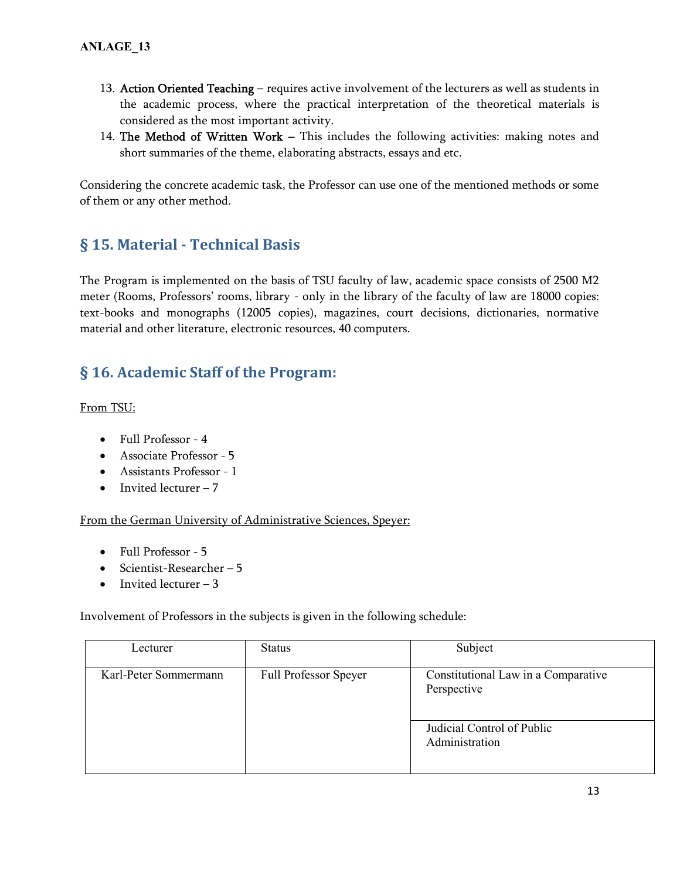- 13. **Action Oriented Teaching** requires active involvement of the lecturers as well as students in the academic process, where the practical interpretation of the theoretical materials is considered as the most important activity.
- 14. **The Method of Written Work –** This includes the following activities: making notes and short summaries of the theme, elaborating abstracts, essays and etc.

Considering the concrete academic task, the Professor can use one of the mentioned methods or some of them or any other method.

# **§ 15. Material - Technical Basis**

The Program is implemented on the basis of TSU faculty of law, academic space consists of 2500 M2 meter (Rooms, Professors' rooms, library - only in the library of the faculty of law are 18000 copies: text-books and monographs (12005 copies), magazines, court decisions, dictionaries, normative material and other literature, electronic resources, 40 computers.

# **§ 16. Academic Staff of the Program:**

From TSU:

- Full Professor 4
- Associate Professor 5
- Assistants Professor 1
- $\bullet$  Invited lecturer 7

## From the German University of Administrative Sciences, Speyer:

- Full Professor 5
- Scientist-Researcher 5
- $\bullet$  Invited lecturer 3

Involvement of Professors in the subjects is given in the following schedule:

| Lecturer              | <b>Status</b>                | Subject                                            |
|-----------------------|------------------------------|----------------------------------------------------|
| Karl-Peter Sommermann | <b>Full Professor Speyer</b> | Constitutional Law in a Comparative<br>Perspective |
|                       |                              | Judicial Control of Public<br>Administration       |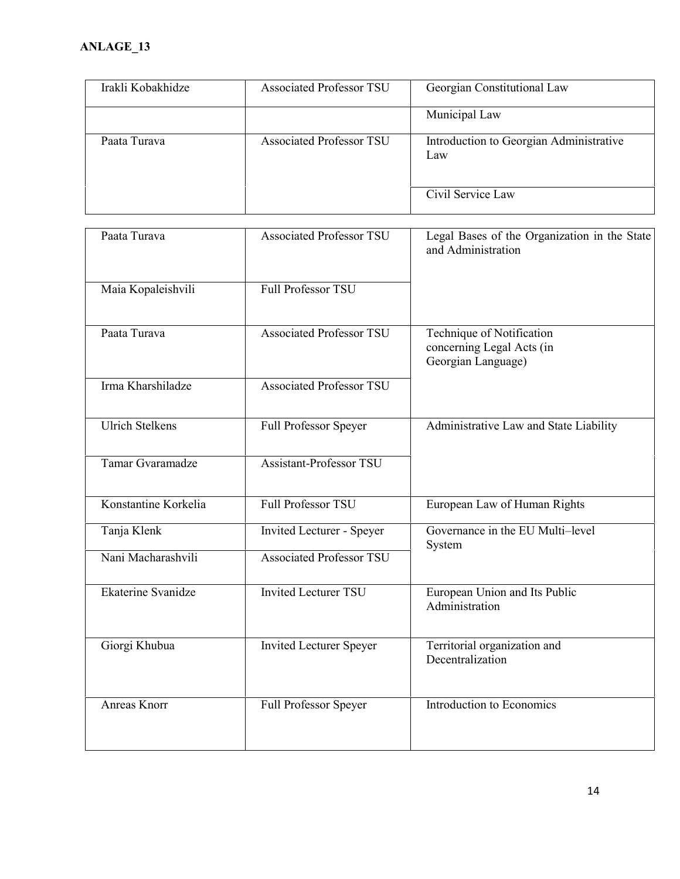| Irakli Kobakhidze | <b>Associated Professor TSU</b> | Georgian Constitutional Law                    |
|-------------------|---------------------------------|------------------------------------------------|
|                   |                                 | Municipal Law                                  |
| Paata Turava      | <b>Associated Professor TSU</b> | Introduction to Georgian Administrative<br>Law |
|                   |                                 | Civil Service Law                              |

| Paata Turava           | <b>Associated Professor TSU</b>  | Legal Bases of the Organization in the State<br>and Administration           |
|------------------------|----------------------------------|------------------------------------------------------------------------------|
| Maia Kopaleishvili     | <b>Full Professor TSU</b>        |                                                                              |
| Paata Turava           | <b>Associated Professor TSU</b>  | Technique of Notification<br>concerning Legal Acts (in<br>Georgian Language) |
| Irma Kharshiladze      | <b>Associated Professor TSU</b>  |                                                                              |
| <b>Ulrich Stelkens</b> | Full Professor Speyer            | Administrative Law and State Liability                                       |
| Tamar Gvaramadze       | <b>Assistant-Professor TSU</b>   |                                                                              |
| Konstantine Korkelia   | <b>Full Professor TSU</b>        | European Law of Human Rights                                                 |
| Tanja Klenk            | <b>Invited Lecturer - Speyer</b> | Governance in the EU Multi-level<br>System                                   |
| Nani Macharashvili     | <b>Associated Professor TSU</b>  |                                                                              |
| Ekaterine Svanidze     | <b>Invited Lecturer TSU</b>      | European Union and Its Public<br>Administration                              |
| Giorgi Khubua          | <b>Invited Lecturer Speyer</b>   | Territorial organization and<br>Decentralization                             |
| <b>Anreas Knorr</b>    | Full Professor Speyer            | Introduction to Economics                                                    |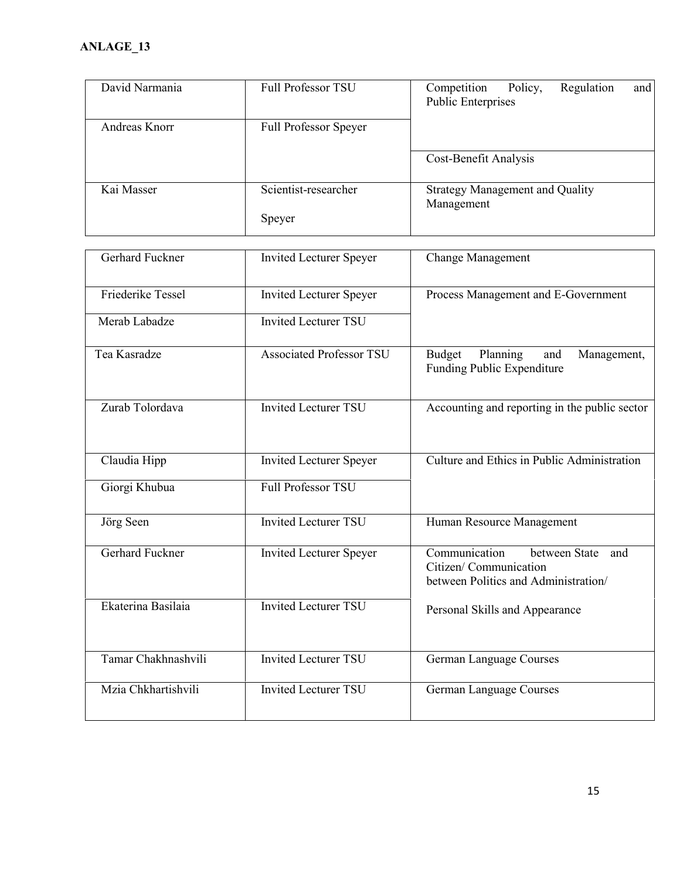| <b>Full Professor TSU</b>       | Competition<br>Policy,<br>Regulation<br>and<br><b>Public Enterprises</b>                             |
|---------------------------------|------------------------------------------------------------------------------------------------------|
| Full Professor Speyer           |                                                                                                      |
|                                 | Cost-Benefit Analysis                                                                                |
| Scientist-researcher            | <b>Strategy Management and Quality</b><br>Management                                                 |
| Speyer                          |                                                                                                      |
| <b>Invited Lecturer Speyer</b>  | <b>Change Management</b>                                                                             |
| <b>Invited Lecturer Speyer</b>  | Process Management and E-Government                                                                  |
| <b>Invited Lecturer TSU</b>     |                                                                                                      |
| <b>Associated Professor TSU</b> | Planning<br><b>Budget</b><br>Management,<br>and<br>Funding Public Expenditure                        |
| <b>Invited Lecturer TSU</b>     | Accounting and reporting in the public sector                                                        |
| <b>Invited Lecturer Speyer</b>  | Culture and Ethics in Public Administration                                                          |
| <b>Full Professor TSU</b>       |                                                                                                      |
| <b>Invited Lecturer TSU</b>     | Human Resource Management                                                                            |
| <b>Invited Lecturer Speyer</b>  | Communication<br>between State and<br>Citizen/ Communication<br>between Politics and Administration/ |
| <b>Invited Lecturer TSU</b>     | Personal Skills and Appearance                                                                       |
| <b>Invited Lecturer TSU</b>     | German Language Courses                                                                              |
| <b>Invited Lecturer TSU</b>     | German Language Courses                                                                              |
|                                 |                                                                                                      |